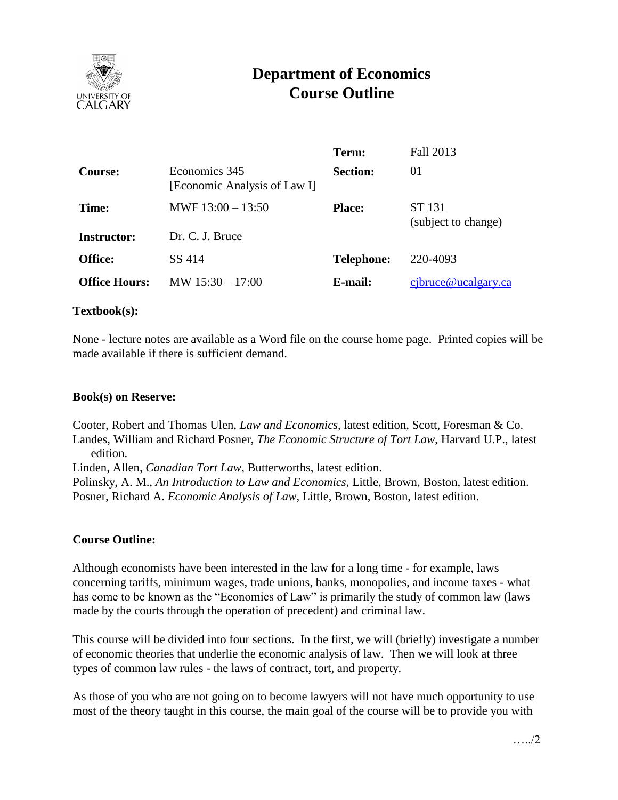

# **Department of Economics Course Outline**

|                      |                                               | Term:             | Fall 2013                     |  |
|----------------------|-----------------------------------------------|-------------------|-------------------------------|--|
| <b>Course:</b>       | Economics 345<br>[Economic Analysis of Law I] | <b>Section:</b>   | 01                            |  |
| Time:                | MWF $13:00 - 13:50$                           | <b>Place:</b>     | ST 131<br>(subject to change) |  |
| <b>Instructor:</b>   | Dr. C. J. Bruce                               |                   |                               |  |
| <b>Office:</b>       | SS 414                                        | <b>Telephone:</b> | 220-4093                      |  |
| <b>Office Hours:</b> | $MW 15:30 - 17:00$                            | E-mail:           | $c$ jbruce@ucalgary.ca        |  |

#### **Textbook(s):**

None - lecture notes are available as a Word file on the course home page. Printed copies will be made available if there is sufficient demand.

#### **Book(s) on Reserve:**

Cooter, Robert and Thomas Ulen, *Law and Economics*, latest edition, Scott, Foresman & Co. Landes, William and Richard Posner, *The Economic Structure of Tort Law*, Harvard U.P., latest edition.

Linden, Allen, *Canadian Tort Law*, Butterworths, latest edition.

Polinsky, A. M., *An Introduction to Law and Economics*, Little, Brown, Boston, latest edition. Posner, Richard A. *Economic Analysis of Law*, Little, Brown, Boston, latest edition.

# **Course Outline:**

Although economists have been interested in the law for a long time - for example, laws concerning tariffs, minimum wages, trade unions, banks, monopolies, and income taxes - what has come to be known as the "Economics of Law" is primarily the study of common law (laws made by the courts through the operation of precedent) and criminal law.

This course will be divided into four sections. In the first, we will (briefly) investigate a number of economic theories that underlie the economic analysis of law. Then we will look at three types of common law rules - the laws of contract, tort, and property.

As those of you who are not going on to become lawyers will not have much opportunity to use most of the theory taught in this course, the main goal of the course will be to provide you with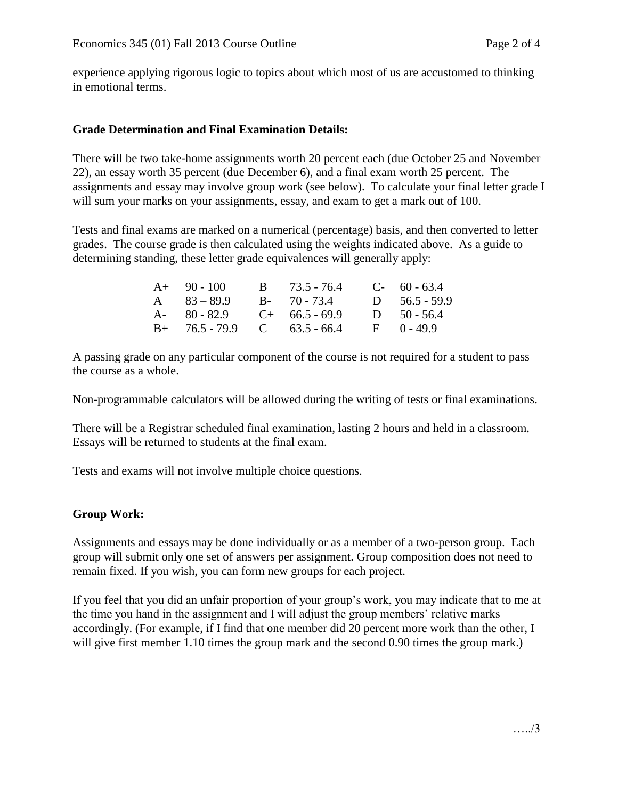experience applying rigorous logic to topics about which most of us are accustomed to thinking in emotional terms.

## **Grade Determination and Final Examination Details:**

There will be two take-home assignments worth 20 percent each (due October 25 and November 22), an essay worth 35 percent (due December 6), and a final exam worth 25 percent. The assignments and essay may involve group work (see below). To calculate your final letter grade I will sum your marks on your assignments, essay, and exam to get a mark out of 100.

Tests and final exams are marked on a numerical (percentage) basis, and then converted to letter grades. The course grade is then calculated using the weights indicated above. As a guide to determining standing, these letter grade equivalences will generally apply:

| $A+ 90-100$                   | B 73.5 - 76.4                             | $C-60-63.4$       |
|-------------------------------|-------------------------------------------|-------------------|
| A $83 - 89.9$                 | $B - 70 - 73.4$                           | $D = 56.5 - 59.9$ |
| A- $80 - 82.9$ C+ 66.5 - 69.9 |                                           | D $50 - 56.4$     |
|                               | $B+$ 76.5 - 79.9 C 63.5 - 66.4 F 0 - 49.9 |                   |

A passing grade on any particular component of the course is not required for a student to pass the course as a whole.

Non-programmable calculators will be allowed during the writing of tests or final examinations.

There will be a Registrar scheduled final examination, lasting 2 hours and held in a classroom. Essays will be returned to students at the final exam.

Tests and exams will not involve multiple choice questions.

# **Group Work:**

Assignments and essays may be done individually or as a member of a two-person group. Each group will submit only one set of answers per assignment. Group composition does not need to remain fixed. If you wish, you can form new groups for each project.

If you feel that you did an unfair proportion of your group's work, you may indicate that to me at the time you hand in the assignment and I will adjust the group members' relative marks accordingly. (For example, if I find that one member did 20 percent more work than the other, I will give first member 1.10 times the group mark and the second 0.90 times the group mark.)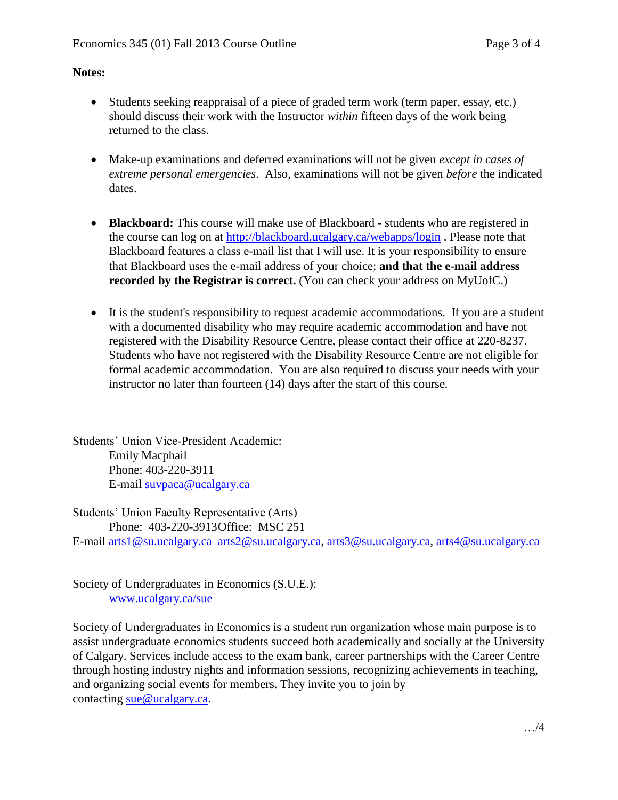## **Notes:**

- Students seeking reappraisal of a piece of graded term work (term paper, essay, etc.) should discuss their work with the Instructor *within* fifteen days of the work being returned to the class.
- Make-up examinations and deferred examinations will not be given *except in cases of extreme personal emergencies*. Also, examinations will not be given *before* the indicated dates.
- **Blackboard:** This course will make use of Blackboard students who are registered in the course can log on at<http://blackboard.ucalgary.ca/webapps/login> . Please note that Blackboard features a class e-mail list that I will use. It is your responsibility to ensure that Blackboard uses the e-mail address of your choice; **and that the e-mail address recorded by the Registrar is correct.** (You can check your address on MyUofC.)
- It is the student's responsibility to request academic accommodations. If you are a student with a documented disability who may require academic accommodation and have not registered with the Disability Resource Centre, please contact their office at 220-8237. Students who have not registered with the Disability Resource Centre are not eligible for formal academic accommodation. You are also required to discuss your needs with your instructor no later than fourteen (14) days after the start of this course.

Students' Union Vice-President Academic: Emily Macphail Phone: 403-220-3911 E-mail [suvpaca@ucalgary.ca](mailto:subpaca@ucalgary.ca)

Students' Union Faculty Representative (Arts) Phone: 403-220-3913Office: MSC 251 E-mail [arts1@su.ucalgary.ca](mailto:arts1@su.ucalgary.ca) [arts2@su.ucalgary.ca,](mailto:arts2@su.ucalgary.ca) [arts3@su.ucalgary.ca,](mailto:arts3@su.ucalgary.ca) [arts4@su.ucalgary.ca](mailto:arts4@su.ucalgary.ca)

Society of Undergraduates in Economics (S.U.E.): [www.ucalgary.ca/sue](http://www.fp.ucalgary.ca/econ)

Society of Undergraduates in Economics is a student run organization whose main purpose is to assist undergraduate economics students succeed both academically and socially at the University of Calgary. Services include access to the exam bank, career partnerships with the Career Centre through hosting industry nights and information sessions, recognizing achievements in teaching, and organizing social events for members. They invite you to join by contacting [sue@ucalgary.ca.](mailto:sue@ucalgary.ca)